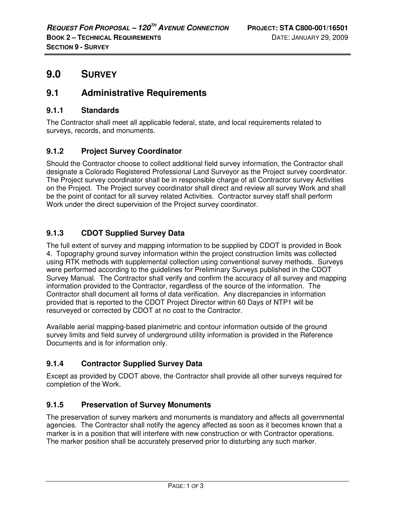# **9.0 SURVEY**

## **9.1 Administrative Requirements**

### **9.1.1 Standards**

The Contractor shall meet all applicable federal, state, and local requirements related to surveys, records, and monuments.

## **9.1.2 Project Survey Coordinator**

Should the Contractor choose to collect additional field survey information, the Contractor shall designate a Colorado Registered Professional Land Surveyor as the Project survey coordinator. The Project survey coordinator shall be in responsible charge of all Contractor survey Activities on the Project. The Project survey coordinator shall direct and review all survey Work and shall be the point of contact for all survey related Activities. Contractor survey staff shall perform Work under the direct supervision of the Project survey coordinator.

## **9.1.3 CDOT Supplied Survey Data**

The full extent of survey and mapping information to be supplied by CDOT is provided in Book 4. Topography ground survey information within the project construction limits was collected using RTK methods with supplemental collection using conventional survey methods. Surveys were performed according to the guidelines for Preliminary Surveys published in the CDOT Survey Manual. The Contractor shall verify and confirm the accuracy of all survey and mapping information provided to the Contractor, regardless of the source of the information. The Contractor shall document all forms of data verification. Any discrepancies in information provided that is reported to the CDOT Project Director within 60 Days of NTP1 will be resurveyed or corrected by CDOT at no cost to the Contractor.

Available aerial mapping-based planimetric and contour information outside of the ground survey limits and field survey of underground utility information is provided in the Reference Documents and is for information only.

## **9.1.4 Contractor Supplied Survey Data**

Except as provided by CDOT above, the Contractor shall provide all other surveys required for completion of the Work.

## **9.1.5 Preservation of Survey Monuments**

The preservation of survey markers and monuments is mandatory and affects all governmental agencies. The Contractor shall notify the agency affected as soon as it becomes known that a marker is in a position that will interfere with new construction or with Contractor operations. The marker position shall be accurately preserved prior to disturbing any such marker.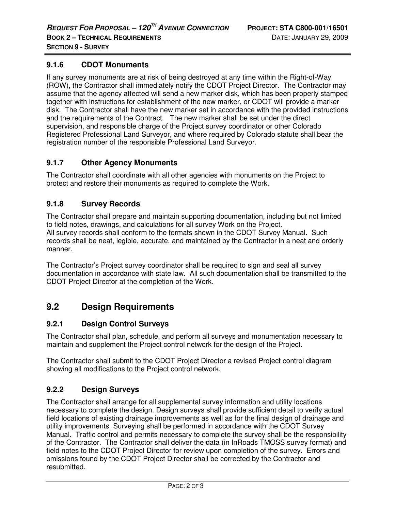### **9.1.6 CDOT Monuments**

If any survey monuments are at risk of being destroyed at any time within the Right-of-Way (ROW), the Contractor shall immediately notify the CDOT Project Director. The Contractor may assume that the agency affected will send a new marker disk, which has been properly stamped together with instructions for establishment of the new marker, or CDOT will provide a marker disk. The Contractor shall have the new marker set in accordance with the provided instructions and the requirements of the Contract. The new marker shall be set under the direct supervision, and responsible charge of the Project survey coordinator or other Colorado Registered Professional Land Surveyor, and where required by Colorado statute shall bear the registration number of the responsible Professional Land Surveyor.

### **9.1.7 Other Agency Monuments**

The Contractor shall coordinate with all other agencies with monuments on the Project to protect and restore their monuments as required to complete the Work.

### **9.1.8 Survey Records**

The Contractor shall prepare and maintain supporting documentation, including but not limited to field notes, drawings, and calculations for all survey Work on the Project. All survey records shall conform to the formats shown in the CDOT Survey Manual. Such records shall be neat, legible, accurate, and maintained by the Contractor in a neat and orderly manner.

The Contractor's Project survey coordinator shall be required to sign and seal all survey documentation in accordance with state law. All such documentation shall be transmitted to the CDOT Project Director at the completion of the Work.

## **9.2 Design Requirements**

#### **9.2.1 Design Control Surveys**

The Contractor shall plan, schedule, and perform all surveys and monumentation necessary to maintain and supplement the Project control network for the design of the Project.

The Contractor shall submit to the CDOT Project Director a revised Project control diagram showing all modifications to the Project control network.

### **9.2.2 Design Surveys**

The Contractor shall arrange for all supplemental survey information and utility locations necessary to complete the design. Design surveys shall provide sufficient detail to verify actual field locations of existing drainage improvements as well as for the final design of drainage and utility improvements. Surveying shall be performed in accordance with the CDOT Survey Manual. Traffic control and permits necessary to complete the survey shall be the responsibility of the Contractor. The Contractor shall deliver the data (in InRoads TMOSS survey format) and field notes to the CDOT Project Director for review upon completion of the survey. Errors and omissions found by the CDOT Project Director shall be corrected by the Contractor and resubmitted.